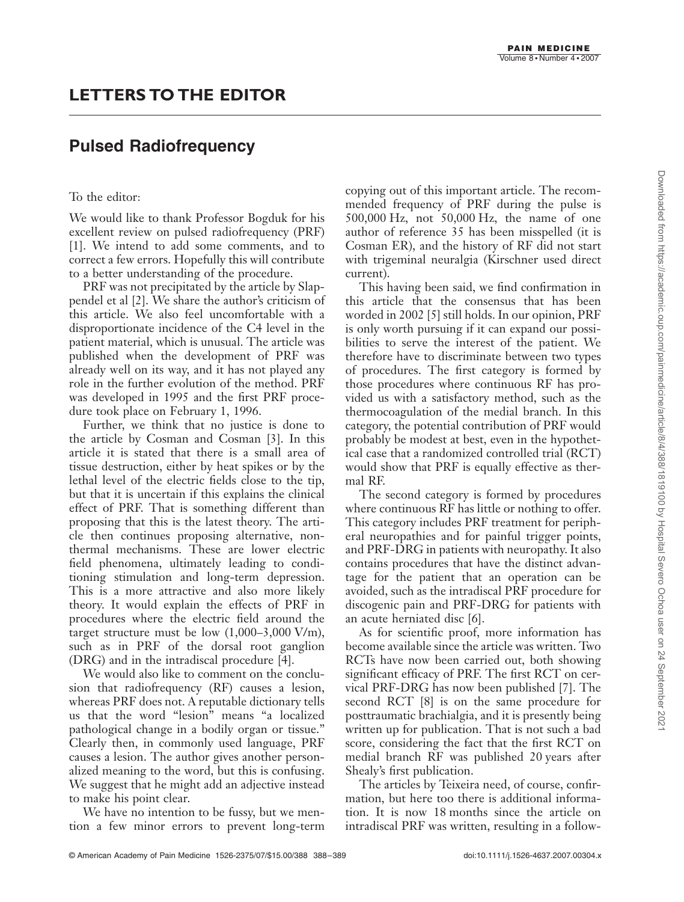## **Pulsed Radiofrequency**

## To the editor:

We would like to thank Professor Bogduk for his excellent review on pulsed radiofrequency (PRF) [1]. We intend to add some comments, and to correct a few errors. Hopefully this will contribute to a better understanding of the procedure.

PRF was not precipitated by the article by Slappendel et al [2]. We share the author's criticism of this article. We also feel uncomfortable with a disproportionate incidence of the C4 level in the patient material, which is unusual. The article was published when the development of PRF was already well on its way, and it has not played any role in the further evolution of the method. PRF was developed in 1995 and the first PRF procedure took place on February 1, 1996.

Further, we think that no justice is done to the article by Cosman and Cosman [3]. In this article it is stated that there is a small area of tissue destruction, either by heat spikes or by the lethal level of the electric fields close to the tip, but that it is uncertain if this explains the clinical effect of PRF. That is something different than proposing that this is the latest theory. The article then continues proposing alternative, nonthermal mechanisms. These are lower electric field phenomena, ultimately leading to conditioning stimulation and long-term depression. This is a more attractive and also more likely theory. It would explain the effects of PRF in procedures where the electric field around the target structure must be low (1,000–3,000 V/m), such as in PRF of the dorsal root ganglion (DRG) and in the intradiscal procedure [4].

We would also like to comment on the conclusion that radiofrequency (RF) causes a lesion, whereas PRF does not. A reputable dictionary tells us that the word "lesion" means "a localized pathological change in a bodily organ or tissue." Clearly then, in commonly used language, PRF causes a lesion. The author gives another personalized meaning to the word, but this is confusing. We suggest that he might add an adjective instead to make his point clear.

We have no intention to be fussy, but we mention a few minor errors to prevent long-term

copying out of this important article. The recommended frequency of PRF during the pulse is 500,000 Hz, not 50,000 Hz, the name of one author of reference 35 has been misspelled (it is Cosman ER), and the history of RF did not start with trigeminal neuralgia (Kirschner used direct current).

This having been said, we find confirmation in this article that the consensus that has been worded in 2002 [5] still holds. In our opinion, PRF is only worth pursuing if it can expand our possibilities to serve the interest of the patient. We therefore have to discriminate between two types of procedures. The first category is formed by those procedures where continuous RF has provided us with a satisfactory method, such as the thermocoagulation of the medial branch. In this category, the potential contribution of PRF would probably be modest at best, even in the hypothetical case that a randomized controlled trial (RCT) would show that PRF is equally effective as thermal RF.

The second category is formed by procedures where continuous RF has little or nothing to offer. This category includes PRF treatment for peripheral neuropathies and for painful trigger points, and PRF-DRG in patients with neuropathy. It also contains procedures that have the distinct advantage for the patient that an operation can be avoided, such as the intradiscal PRF procedure for discogenic pain and PRF-DRG for patients with an acute herniated disc [6].

As for scientific proof, more information has become available since the article was written. Two RCTs have now been carried out, both showing significant efficacy of PRF. The first RCT on cervical PRF-DRG has now been published [7]. The second RCT [8] is on the same procedure for posttraumatic brachialgia, and it is presently being written up for publication. That is not such a bad score, considering the fact that the first RCT on medial branch RF was published 20 years after Shealy's first publication.

The articles by Teixeira need, of course, confirmation, but here too there is additional information. It is now 18 months since the article on intradiscal PRF was written, resulting in a follow